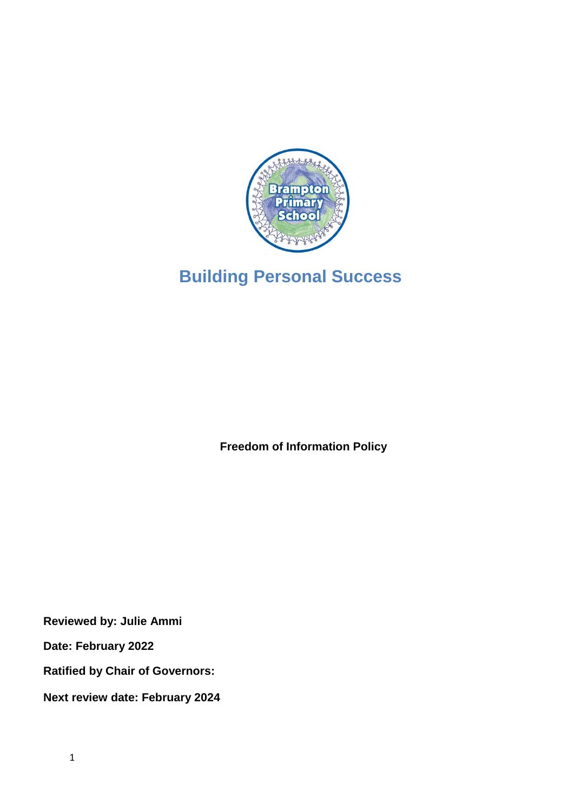

# **Building Personal Success**

**Freedom of Information Policy**

**Reviewed by: Julie Ammi**

**Date: February 2022**

**Ratified by Chair of Governors:**

**Next review date: February 2024**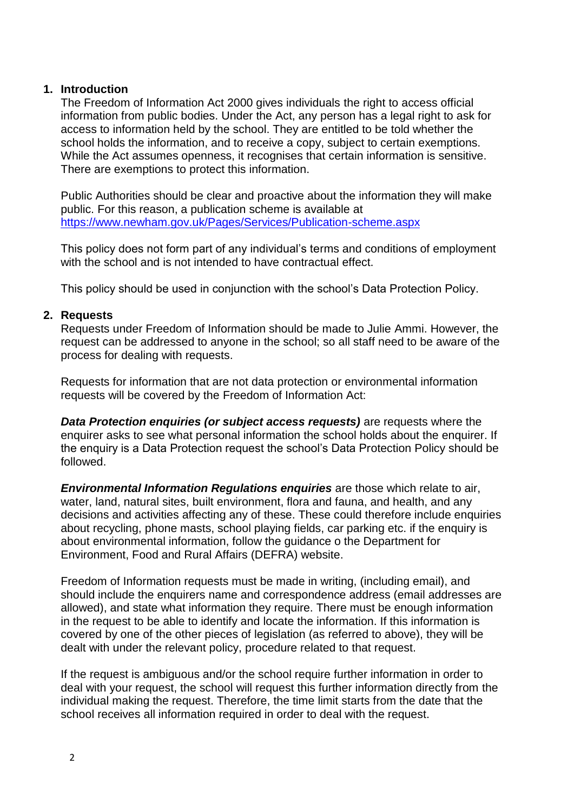#### **1. Introduction**

The Freedom of Information Act 2000 gives individuals the right to access official information from public bodies. Under the Act, any person has a legal right to ask for access to information held by the school. They are entitled to be told whether the school holds the information, and to receive a copy, subject to certain exemptions. While the Act assumes openness, it recognises that certain information is sensitive. There are exemptions to protect this information.

Public Authorities should be clear and proactive about the information they will make public. For this reason, a publication scheme is available at <https://www.newham.gov.uk/Pages/Services/Publication-scheme.aspx>

This policy does not form part of any individual's terms and conditions of employment with the school and is not intended to have contractual effect.

This policy should be used in conjunction with the school's Data Protection Policy.

#### **2. Requests**

Requests under Freedom of Information should be made to Julie Ammi. However, the request can be addressed to anyone in the school; so all staff need to be aware of the process for dealing with requests.

Requests for information that are not data protection or environmental information requests will be covered by the Freedom of Information Act:

**Data Protection enquiries (or subject access requests)** are requests where the enquirer asks to see what personal information the school holds about the enquirer. If the enquiry is a Data Protection request the school's Data Protection Policy should be followed.

*Environmental Information Regulations enquiries* are those which relate to air, water, land, natural sites, built environment, flora and fauna, and health, and any decisions and activities affecting any of these. These could therefore include enquiries about recycling, phone masts, school playing fields, car parking etc. if the enquiry is about environmental information, follow the guidance o the Department for Environment, Food and Rural Affairs (DEFRA) website.

Freedom of Information requests must be made in writing, (including email), and should include the enquirers name and correspondence address (email addresses are allowed), and state what information they require. There must be enough information in the request to be able to identify and locate the information. If this information is covered by one of the other pieces of legislation (as referred to above), they will be dealt with under the relevant policy, procedure related to that request.

If the request is ambiguous and/or the school require further information in order to deal with your request, the school will request this further information directly from the individual making the request. Therefore, the time limit starts from the date that the school receives all information required in order to deal with the request.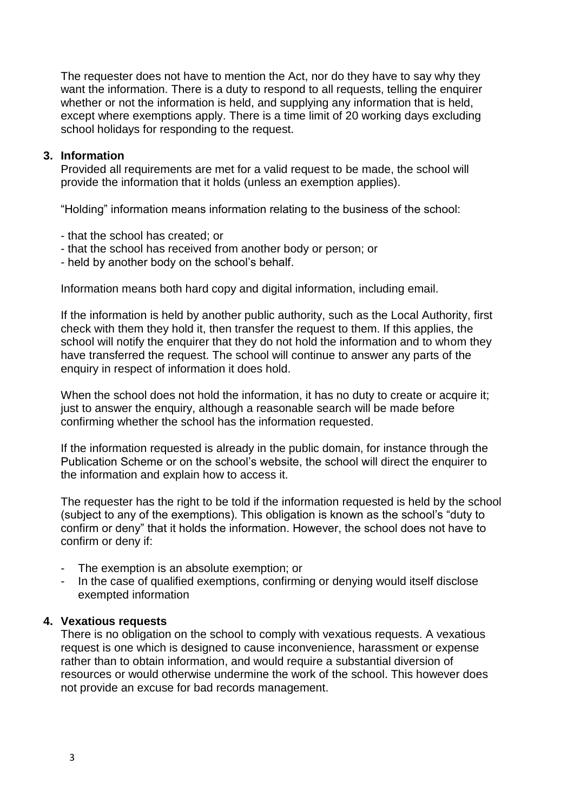The requester does not have to mention the Act, nor do they have to say why they want the information. There is a duty to respond to all requests, telling the enquirer whether or not the information is held, and supplying any information that is held, except where exemptions apply. There is a time limit of 20 working days excluding school holidays for responding to the request.

#### **3. Information**

Provided all requirements are met for a valid request to be made, the school will provide the information that it holds (unless an exemption applies).

"Holding" information means information relating to the business of the school:

- that the school has created; or
- that the school has received from another body or person; or
- held by another body on the school's behalf.

Information means both hard copy and digital information, including email.

If the information is held by another public authority, such as the Local Authority, first check with them they hold it, then transfer the request to them. If this applies, the school will notify the enquirer that they do not hold the information and to whom they have transferred the request. The school will continue to answer any parts of the enquiry in respect of information it does hold.

When the school does not hold the information, it has no duty to create or acquire it; just to answer the enquiry, although a reasonable search will be made before confirming whether the school has the information requested.

If the information requested is already in the public domain, for instance through the Publication Scheme or on the school's website, the school will direct the enquirer to the information and explain how to access it.

The requester has the right to be told if the information requested is held by the school (subject to any of the exemptions). This obligation is known as the school's "duty to confirm or deny" that it holds the information. However, the school does not have to confirm or deny if:

- The exemption is an absolute exemption; or
- In the case of qualified exemptions, confirming or denying would itself disclose exempted information

#### **4. Vexatious requests**

There is no obligation on the school to comply with vexatious requests. A vexatious request is one which is designed to cause inconvenience, harassment or expense rather than to obtain information, and would require a substantial diversion of resources or would otherwise undermine the work of the school. This however does not provide an excuse for bad records management.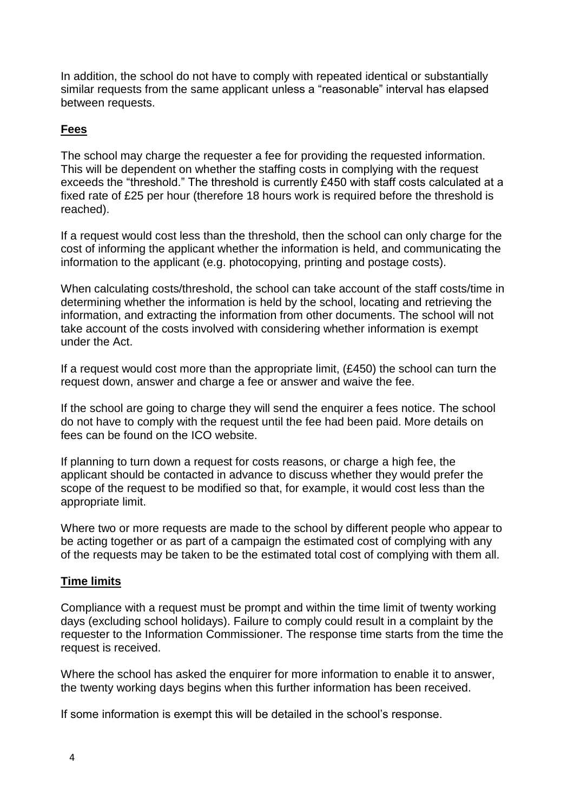In addition, the school do not have to comply with repeated identical or substantially similar requests from the same applicant unless a "reasonable" interval has elapsed between requests.

## **Fees**

The school may charge the requester a fee for providing the requested information. This will be dependent on whether the staffing costs in complying with the request exceeds the "threshold." The threshold is currently £450 with staff costs calculated at a fixed rate of £25 per hour (therefore 18 hours work is required before the threshold is reached).

If a request would cost less than the threshold, then the school can only charge for the cost of informing the applicant whether the information is held, and communicating the information to the applicant (e.g. photocopying, printing and postage costs).

When calculating costs/threshold, the school can take account of the staff costs/time in determining whether the information is held by the school, locating and retrieving the information, and extracting the information from other documents. The school will not take account of the costs involved with considering whether information is exempt under the Act.

If a request would cost more than the appropriate limit, (£450) the school can turn the request down, answer and charge a fee or answer and waive the fee.

If the school are going to charge they will send the enquirer a fees notice. The school do not have to comply with the request until the fee had been paid. More details on fees can be found on the ICO website.

If planning to turn down a request for costs reasons, or charge a high fee, the applicant should be contacted in advance to discuss whether they would prefer the scope of the request to be modified so that, for example, it would cost less than the appropriate limit.

Where two or more requests are made to the school by different people who appear to be acting together or as part of a campaign the estimated cost of complying with any of the requests may be taken to be the estimated total cost of complying with them all.

#### **Time limits**

Compliance with a request must be prompt and within the time limit of twenty working days (excluding school holidays). Failure to comply could result in a complaint by the requester to the Information Commissioner. The response time starts from the time the request is received.

Where the school has asked the enquirer for more information to enable it to answer, the twenty working days begins when this further information has been received.

If some information is exempt this will be detailed in the school's response.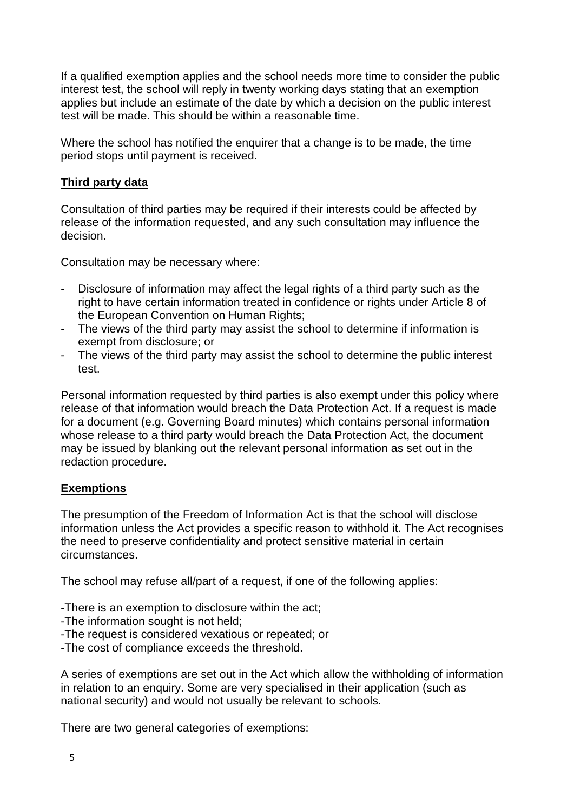If a qualified exemption applies and the school needs more time to consider the public interest test, the school will reply in twenty working days stating that an exemption applies but include an estimate of the date by which a decision on the public interest test will be made. This should be within a reasonable time.

Where the school has notified the enquirer that a change is to be made, the time period stops until payment is received.

#### **Third party data**

Consultation of third parties may be required if their interests could be affected by release of the information requested, and any such consultation may influence the decision.

Consultation may be necessary where:

- Disclosure of information may affect the legal rights of a third party such as the right to have certain information treated in confidence or rights under Article 8 of the European Convention on Human Rights;
- The views of the third party may assist the school to determine if information is exempt from disclosure; or
- The views of the third party may assist the school to determine the public interest test.

Personal information requested by third parties is also exempt under this policy where release of that information would breach the Data Protection Act. If a request is made for a document (e.g. Governing Board minutes) which contains personal information whose release to a third party would breach the Data Protection Act, the document may be issued by blanking out the relevant personal information as set out in the redaction procedure.

#### **Exemptions**

The presumption of the Freedom of Information Act is that the school will disclose information unless the Act provides a specific reason to withhold it. The Act recognises the need to preserve confidentiality and protect sensitive material in certain circumstances.

The school may refuse all/part of a request, if one of the following applies:

- -There is an exemption to disclosure within the act;
- -The information sought is not held;
- -The request is considered vexatious or repeated; or
- -The cost of compliance exceeds the threshold.

A series of exemptions are set out in the Act which allow the withholding of information in relation to an enquiry. Some are very specialised in their application (such as national security) and would not usually be relevant to schools.

There are two general categories of exemptions: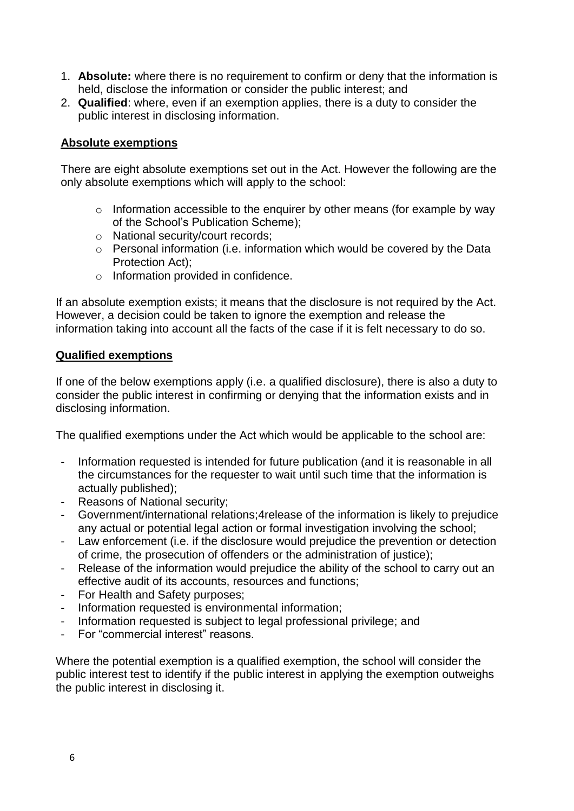- 1. **Absolute:** where there is no requirement to confirm or deny that the information is held, disclose the information or consider the public interest; and
- 2. **Qualified**: where, even if an exemption applies, there is a duty to consider the public interest in disclosing information.

## **Absolute exemptions**

There are eight absolute exemptions set out in the Act. However the following are the only absolute exemptions which will apply to the school:

- $\circ$  Information accessible to the enquirer by other means (for example by way of the School's Publication Scheme);
- o National security/court records;
- o Personal information (i.e. information which would be covered by the Data Protection Act);
- o Information provided in confidence.

If an absolute exemption exists; it means that the disclosure is not required by the Act. However, a decision could be taken to ignore the exemption and release the information taking into account all the facts of the case if it is felt necessary to do so.

### **Qualified exemptions**

If one of the below exemptions apply (i.e. a qualified disclosure), there is also a duty to consider the public interest in confirming or denying that the information exists and in disclosing information.

The qualified exemptions under the Act which would be applicable to the school are:

- Information requested is intended for future publication (and it is reasonable in all the circumstances for the requester to wait until such time that the information is actually published);
- Reasons of National security;
- Government/international relations;4release of the information is likely to prejudice any actual or potential legal action or formal investigation involving the school;
- Law enforcement (i.e. if the disclosure would prejudice the prevention or detection of crime, the prosecution of offenders or the administration of justice);
- Release of the information would prejudice the ability of the school to carry out an effective audit of its accounts, resources and functions;
- For Health and Safety purposes;
- Information requested is environmental information;
- Information requested is subject to legal professional privilege; and
- For "commercial interest" reasons.

Where the potential exemption is a qualified exemption, the school will consider the public interest test to identify if the public interest in applying the exemption outweighs the public interest in disclosing it.